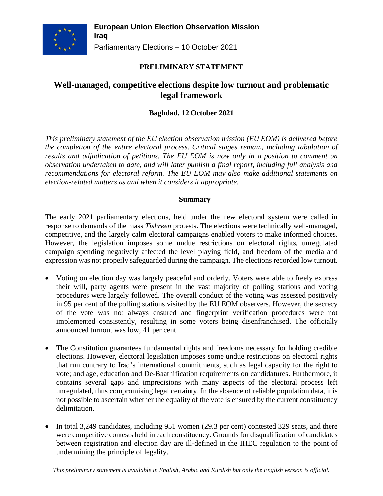

## **PRELIMINARY STATEMENT**

# **Well-managed, competitive elections despite low turnout and problematic legal framework**

## **Baghdad, 12 October 2021**

*This preliminary statement of the EU election observation mission (EU EOM) is delivered before the completion of the entire electoral process. Critical stages remain, including tabulation of results and adjudication of petitions. The EU EOM is now only in a position to comment on observation undertaken to date, and will later publish a final report, including full analysis and recommendations for electoral reform. The EU EOM may also make additional statements on election-related matters as and when it considers it appropriate*.

### **Summary**

The early 2021 parliamentary elections, held under the new electoral system were called in response to demands of the mass *Tishreen* protests. The elections were technically well-managed, competitive, and the largely calm electoral campaigns enabled voters to make informed choices. However, the legislation imposes some undue restrictions on electoral rights, unregulated campaign spending negatively affected the level playing field, and freedom of the media and expression was not properly safeguarded during the campaign. The elections recorded low turnout.

- Voting on election day was largely peaceful and orderly. Voters were able to freely express their will, party agents were present in the vast majority of polling stations and voting procedures were largely followed. The overall conduct of the voting was assessed positively in 95 per cent of the polling stations visited by the EU EOM observers. However, the secrecy of the vote was not always ensured and fingerprint verification procedures were not implemented consistently, resulting in some voters being disenfranchised. The officially announced turnout was low, 41 per cent.
- The Constitution guarantees fundamental rights and freedoms necessary for holding credible elections. However, electoral legislation imposes some undue restrictions on electoral rights that run contrary to Iraq's international commitments, such as legal capacity for the right to vote; and age, education and De-Baathification requirements on candidatures. Furthermore, it contains several gaps and imprecisions with many aspects of the electoral process left unregulated, thus compromising legal certainty. In the absence of reliable population data, it is not possible to ascertain whether the equality of the vote is ensured by the current constituency delimitation.
- In total 3,249 candidates, including 951 women (29.3 per cent) contested 329 seats, and there were competitive contests held in each constituency. Grounds for disqualification of candidates between registration and election day are ill-defined in the IHEC regulation to the point of undermining the principle of legality.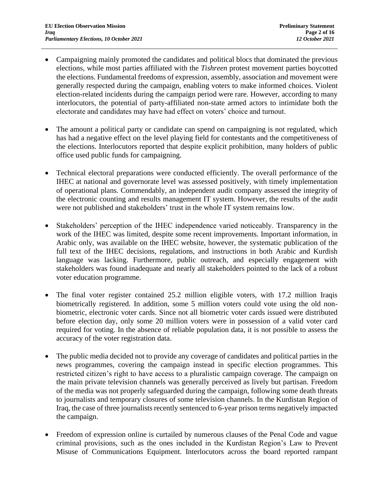- Campaigning mainly promoted the candidates and political blocs that dominated the previous elections, while most parties affiliated with the *Tishreen* protest movement parties boycotted the elections. Fundamental freedoms of expression, assembly, association and movement were generally respected during the campaign, enabling voters to make informed choices. Violent election-related incidents during the campaign period were rare. However, according to many interlocutors, the potential of party-affiliated non-state armed actors to intimidate both the electorate and candidates may have had effect on voters' choice and turnout.
- The amount a political party or candidate can spend on campaigning is not regulated, which has had a negative effect on the level playing field for contestants and the competitiveness of the elections. Interlocutors reported that despite explicit prohibition, many holders of public office used public funds for campaigning.
- Technical electoral preparations were conducted efficiently. The overall performance of the IHEC at national and governorate level was assessed positively, with timely implementation of operational plans. Commendably, an independent audit company assessed the integrity of the electronic counting and results management IT system. However, the results of the audit were not published and stakeholders' trust in the whole IT system remains low.
- Stakeholders' perception of the IHEC independence varied noticeably. Transparency in the work of the IHEC was limited, despite some recent improvements. Important information, in Arabic only, was available on the IHEC website, however, the systematic publication of the full text of the IHEC decisions, regulations, and instructions in both Arabic and Kurdish language was lacking. Furthermore, public outreach, and especially engagement with stakeholders was found inadequate and nearly all stakeholders pointed to the lack of a robust voter education programme.
- The final voter register contained 25.2 million eligible voters, with 17.2 million Iraqis biometrically registered. In addition, some 5 million voters could vote using the old nonbiometric, electronic voter cards. Since not all biometric voter cards issued were distributed before election day, only some 20 million voters were in possession of a valid voter card required for voting. In the absence of reliable population data, it is not possible to assess the accuracy of the voter registration data.
- The public media decided not to provide any coverage of candidates and political parties in the news programmes, covering the campaign instead in specific election programmes. This restricted citizen's right to have access to a pluralistic campaign coverage. The campaign on the main private television channels was generally perceived as lively but partisan. Freedom of the media was not properly safeguarded during the campaign, following some death threats to journalists and temporary closures of some television channels. In the Kurdistan Region of Iraq, the case of three journalists recently sentenced to 6-year prison terms negatively impacted the campaign.
- Freedom of expression online is curtailed by numerous clauses of the Penal Code and vague criminal provisions, such as the ones included in the Kurdistan Region's Law to Prevent Misuse of Communications Equipment. Interlocutors across the board reported rampant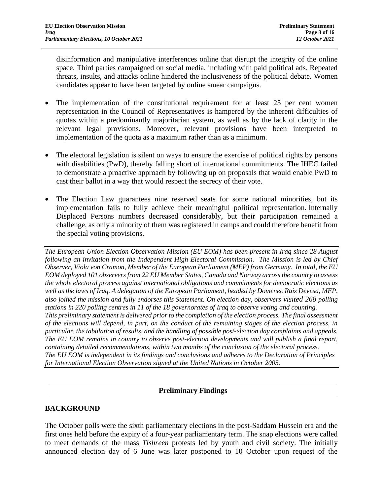disinformation and manipulative interferences online that disrupt the integrity of the online space. Third parties campaigned on social media, including with paid political ads. Repeated threats, insults, and attacks online hindered the inclusiveness of the political debate. Women candidates appear to have been targeted by online smear campaigns.

- The implementation of the constitutional requirement for at least 25 per cent women representation in the Council of Representatives is hampered by the inherent difficulties of quotas within a predominantly majoritarian system, as well as by the lack of clarity in the relevant legal provisions. Moreover, relevant provisions have been interpreted to implementation of the quota as a maximum rather than as a minimum.
- The electoral legislation is silent on ways to ensure the exercise of political rights by persons with disabilities (PwD), thereby falling short of international commitments. The IHEC failed to demonstrate a proactive approach by following up on proposals that would enable PwD to cast their ballot in a way that would respect the secrecy of their vote.
- The Election Law guarantees nine reserved seats for some national minorities, but its implementation fails to fully achieve their meaningful political representation. Internally Displaced Persons numbers decreased considerably, but their participation remained a challenge, as only a minority of them was registered in camps and could therefore benefit from the special voting provisions.

*The European Union Election Observation Mission (EU EOM) has been present in Iraq since 28 August following an invitation from the Independent High Electoral Commission. The Mission is led by Chief Observer, Viola von Cramon, Member of the European Parliament (MEP) from Germany. In total, the EU EOM deployed 101 observers from 22 EU Member States, Canada and Norway across the country to assess the whole electoral process against international obligations and commitments for democratic elections as well as the laws of Iraq. A delegation of the European Parliament, headed by Domenec Ruiz Devesa, MEP, also joined the mission and fully endorses this Statement. On election day, observers visited 268 polling stations in 220 polling centres in 11 of the 18 governorates of Iraq to observe voting and counting. This preliminary statement is delivered prior to the completion of the election process. The final assessment of the elections will depend, in part, on the conduct of the remaining stages of the election process, in particular, the tabulation of results, and the handling of possible post-election day complaints and appeals. The EU EOM remains in country to observe post-election developments and will publish a final report, containing detailed recommendations, within two months of the conclusion of the electoral process. The EU EOM is independent in its findings and conclusions and adheres to the Declaration of Principles for International Election Observation signed at the United Nations in October 2005.*

## **Preliminary Findings**

## **BACKGROUND**

The October polls were the sixth parliamentary elections in the post-Saddam Hussein era and the first ones held before the expiry of a four-year parliamentary term. The snap elections were called to meet demands of the mass *Tishreen* protests led by youth and civil society. The initially announced election day of 6 June was later postponed to 10 October upon request of the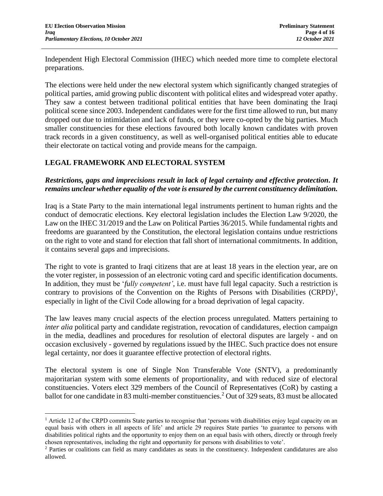Independent High Electoral Commission (IHEC) which needed more time to complete electoral preparations.

The elections were held under the new electoral system which significantly changed strategies of political parties, amid growing public discontent with political elites and widespread voter apathy. They saw a contest between traditional political entities that have been dominating the Iraqi political scene since 2003. Independent candidates were for the first time allowed to run, but many dropped out due to intimidation and lack of funds, or they were co-opted by the big parties. Much smaller constituencies for these elections favoured both locally known candidates with proven track records in a given constituency, as well as well-organised political entities able to educate their electorate on tactical voting and provide means for the campaign.

## **LEGAL FRAMEWORK AND ELECTORAL SYSTEM**

## *Restrictions, gaps and imprecisions result in lack of legal certainty and effective protection. It remains unclear whether equality of the vote is ensured by the current constituency delimitation.*

Iraq is a State Party to the main international legal instruments pertinent to human rights and the conduct of democratic elections. Key electoral legislation includes the Election Law 9/2020, the Law on the IHEC 31/2019 and the Law on Political Parties 36/2015. While fundamental rights and freedoms are guaranteed by the Constitution, the electoral legislation contains undue restrictions on the right to vote and stand for election that fall short of international commitments. In addition, it contains several gaps and imprecisions.

The right to vote is granted to Iraqi citizens that are at least 18 years in the election year, are on the voter register, in possession of an electronic voting card and specific identification documents. In addition, they must be '*fully competent'*, i.e. must have full legal capacity. Such a restriction is contrary to provisions of the Convention on the Rights of Persons with Disabilities  $(CRPD)^1$ , especially in light of the Civil Code allowing for a broad deprivation of legal capacity.

The law leaves many crucial aspects of the election process unregulated. Matters pertaining to *inter alia* political party and candidate registration, revocation of candidatures, election campaign in the media, deadlines and procedures for resolution of electoral disputes are largely - and on occasion exclusively - governed by regulations issued by the IHEC. Such practice does not ensure legal certainty, nor does it guarantee effective protection of electoral rights.

The electoral system is one of Single Non Transferable Vote (SNTV), a predominantly majoritarian system with some elements of proportionality, and with reduced size of electoral constituencies. Voters elect 329 members of the Council of Representatives (CoR) by casting a ballot for one candidate in 83 multi-member constituencies.<sup>2</sup> Out of 329 seats, 83 must be allocated

<sup>&</sup>lt;sup>1</sup> Article 12 of the CRPD commits State parties to recognise that 'persons with disabilities enjoy legal capacity on an equal basis with others in all aspects of life' and article 29 requires State parties 'to guarantee to persons with disabilities political rights and the opportunity to enjoy them on an equal basis with others, directly or through freely chosen representatives, including the right and opportunity for persons with disabilities to vote'.

<sup>2</sup> Parties or coalitions can field as many candidates as seats in the constituency. Independent candidatures are also allowed.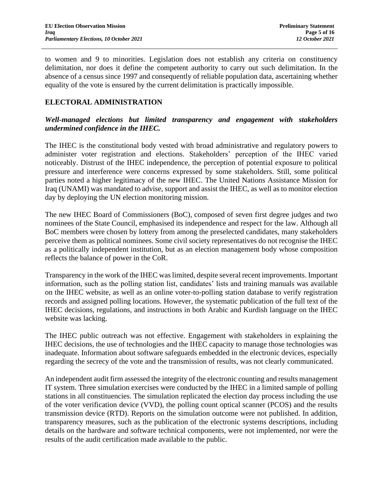to women and 9 to minorities. Legislation does not establish any criteria on constituency delimitation, nor does it define the competent authority to carry out such delimitation. In the absence of a census since 1997 and consequently of reliable population data, ascertaining whether equality of the vote is ensured by the current delimitation is practically impossible.

## **ELECTORAL ADMINISTRATION**

## *Well-managed elections but limited transparency and engagement with stakeholders undermined confidence in the IHEC.*

The IHEC is the constitutional body vested with broad administrative and regulatory powers to administer voter registration and elections. Stakeholders' perception of the IHEC varied noticeably. Distrust of the IHEC independence, the perception of potential exposure to political pressure and interference were concerns expressed by some stakeholders. Still, some political parties noted a higher legitimacy of the new IHEC. The United Nations Assistance Mission for Iraq (UNAMI) was mandated to advise, support and assist the IHEC, as well as to monitor election day by deploying the UN election monitoring mission.

The new IHEC Board of Commissioners (BoC), composed of seven first degree judges and two nominees of the State Council, emphasised its independence and respect for the law. Although all BoC members were chosen by lottery from among the preselected candidates, many stakeholders perceive them as political nominees. Some civil society representatives do not recognise the IHEC as a politically independent institution, but as an election management body whose composition reflects the balance of power in the CoR.

Transparency in the work of the IHEC was limited, despite several recent improvements. Important information, such as the polling station list, candidates' lists and training manuals was available on the IHEC website, as well as an online voter-to-polling station database to verify registration records and assigned polling locations. However, the systematic publication of the full text of the IHEC decisions, regulations, and instructions in both Arabic and Kurdish language on the IHEC website was lacking.

The IHEC public outreach was not effective. Engagement with stakeholders in explaining the IHEC decisions, the use of technologies and the IHEC capacity to manage those technologies was inadequate. Information about software safeguards embedded in the electronic devices, especially regarding the secrecy of the vote and the transmission of results, was not clearly communicated.

An independent audit firm assessed the integrity of the electronic counting and results management IT system. Three simulation exercises were conducted by the IHEC in a limited sample of polling stations in all constituencies. The simulation replicated the election day process including the use of the voter verification device (VVD), the polling count optical scanner (PCOS) and the results transmission device (RTD). Reports on the simulation outcome were not published. In addition, transparency measures, such as the publication of the electronic systems descriptions, including details on the hardware and software technical components, were not implemented, nor were the results of the audit certification made available to the public.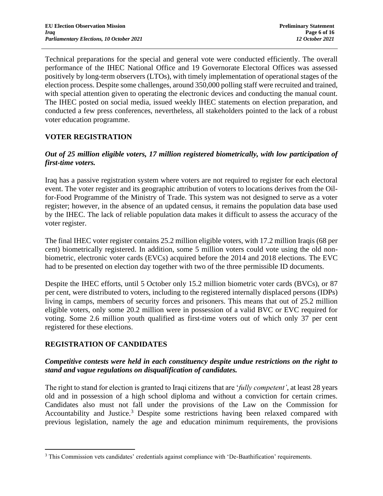Technical preparations for the special and general vote were conducted efficiently. The overall performance of the IHEC National Office and 19 Governorate Electoral Offices was assessed positively by long-term observers (LTOs), with timely implementation of operational stages of the election process. Despite some challenges, around 350,000 polling staff were recruited and trained, with special attention given to operating the electronic devices and conducting the manual count. The IHEC posted on social media, issued weekly IHEC statements on election preparation, and conducted a few press conferences, nevertheless, all stakeholders pointed to the lack of a robust voter education programme.

## **VOTER REGISTRATION**

## *Out of 25 million eligible voters, 17 million registered biometrically, with low participation of first-time voters.*

Iraq has a passive registration system where voters are not required to register for each electoral event. The voter register and its geographic attribution of voters to locations derives from the Oilfor-Food Programme of the Ministry of Trade. This system was not designed to serve as a voter register; however, in the absence of an updated census, it remains the population data base used by the IHEC. The lack of reliable population data makes it difficult to assess the accuracy of the voter register.

The final IHEC voter register contains 25.2 million eligible voters, with 17.2 million Iraqis (68 per cent) biometrically registered. In addition, some 5 million voters could vote using the old nonbiometric, electronic voter cards (EVCs) acquired before the 2014 and 2018 elections. The EVC had to be presented on election day together with two of the three permissible ID documents.

Despite the IHEC efforts, until 5 October only 15.2 million biometric voter cards (BVCs), or 87 per cent, were distributed to voters, including to the registered internally displaced persons (IDPs) living in camps, members of security forces and prisoners. This means that out of 25.2 million eligible voters, only some 20.2 million were in possession of a valid BVC or EVC required for voting. Some 2.6 million youth qualified as first-time voters out of which only 37 per cent registered for these elections.

## **REGISTRATION OF CANDIDATES**

### *Competitive contests were held in each constituency despite undue restrictions on the right to stand and vague regulations on disqualification of candidates.*

The right to stand for election is granted to Iraqi citizens that are '*fully competent'*, at least 28 years old and in possession of a high school diploma and without a conviction for certain crimes. Candidates also must not fall under the provisions of the Law on the Commission for Accountability and Justice.<sup>3</sup> Despite some restrictions having been relaxed compared with previous legislation, namely the age and education minimum requirements, the provisions

<sup>3</sup> This Commission vets candidates' credentials against compliance with 'De-Baathification' requirements.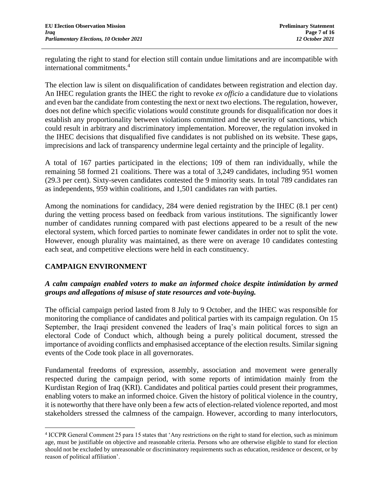regulating the right to stand for election still contain undue limitations and are incompatible with international commitments.<sup>4</sup>

The election law is silent on disqualification of candidates between registration and election day. An IHEC regulation grants the IHEC the right to revoke *ex officio* a candidature due to violations and even bar the candidate from contesting the next or next two elections. The regulation, however, does not define which specific violations would constitute grounds for disqualification nor does it establish any proportionality between violations committed and the severity of sanctions, which could result in arbitrary and discriminatory implementation. Moreover, the regulation invoked in the IHEC decisions that disqualified five candidates is not published on its website. These gaps, imprecisions and lack of transparency undermine legal certainty and the principle of legality.

A total of 167 parties participated in the elections; 109 of them ran individually, while the remaining 58 formed 21 coalitions. There was a total of 3,249 candidates, including 951 women (29.3 per cent). Sixty-seven candidates contested the 9 minority seats. In total 789 candidates ran as independents, 959 within coalitions, and 1,501 candidates ran with parties.

Among the nominations for candidacy, 284 were denied registration by the IHEC (8.1 per cent) during the vetting process based on feedback from various institutions. The significantly lower number of candidates running compared with past elections appeared to be a result of the new electoral system, which forced parties to nominate fewer candidates in order not to split the vote. However, enough plurality was maintained, as there were on average 10 candidates contesting each seat, and competitive elections were held in each constituency.

## **CAMPAIGN ENVIRONMENT**

## *A calm campaign enabled voters to make an informed choice despite intimidation by armed groups and allegations of misuse of state resources and vote-buying.*

The official campaign period lasted from 8 July to 9 October, and the IHEC was responsible for monitoring the compliance of candidates and political parties with its campaign regulation. On 15 September, the Iraqi president convened the leaders of Iraq's main political forces to sign an electoral Code of Conduct which, although being a purely political document, stressed the importance of avoiding conflicts and emphasised acceptance of the election results. Similar signing events of the Code took place in all governorates.

Fundamental freedoms of expression, assembly, association and movement were generally respected during the campaign period, with some reports of intimidation mainly from the Kurdistan Region of Iraq (KRI). Candidates and political parties could present their programmes, enabling voters to make an informed choice. Given the history of political violence in the country, it is noteworthy that there have only been a few acts of election-related violence reported, and most stakeholders stressed the calmness of the campaign. However, according to many interlocutors,

<sup>&</sup>lt;sup>4</sup> ICCPR General Comment 25 para 15 states that 'Any restrictions on the right to stand for election, such as minimum age, must be justifiable on objective and reasonable criteria. Persons who are otherwise eligible to stand for election should not be excluded by unreasonable or discriminatory requirements such as education, residence or descent, or by reason of political affiliation'.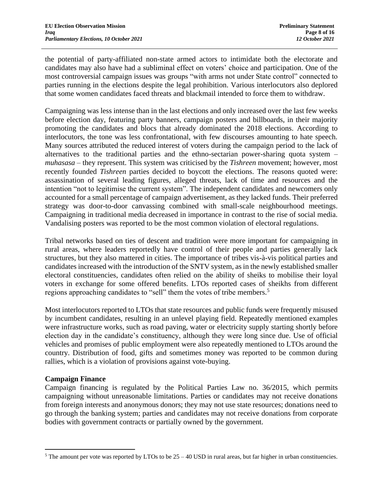the potential of party-affiliated non-state armed actors to intimidate both the electorate and candidates may also have had a subliminal effect on voters' choice and participation. One of the most controversial campaign issues was groups "with arms not under State control" connected to parties running in the elections despite the legal prohibition. Various interlocutors also deplored that some women candidates faced threats and blackmail intended to force them to withdraw.

Campaigning was less intense than in the last elections and only increased over the last few weeks before election day, featuring party banners, campaign posters and billboards, in their majority promoting the candidates and blocs that already dominated the 2018 elections. According to interlocutors, the tone was less confrontational, with few discourses amounting to hate speech. Many sources attributed the reduced interest of voters during the campaign period to the lack of alternatives to the traditional parties and the ethno-sectarian power-sharing quota system – *muhasasa –* they represent. This system was criticised by the *Tishreen* movement; however, most recently founded *Tishreen* parties decided to boycott the elections. The reasons quoted were: assassination of several leading figures, alleged threats, lack of time and resources and the intention "not to legitimise the current system". The independent candidates and newcomers only accounted for a small percentage of campaign advertisement, as they lacked funds. Their preferred strategy was door-to-door canvassing combined with small-scale neighbourhood meetings. Campaigning in traditional media decreased in importance in contrast to the rise of social media. Vandalising posters was reported to be the most common violation of electoral regulations.

Tribal networks based on ties of descent and tradition were more important for campaigning in rural areas, where leaders reportedly have control of their people and parties generally lack structures, but they also mattered in cities. The importance of tribes vis-à-vis political parties and candidates increased with the introduction of the SNTV system, as in the newly established smaller electoral constituencies, candidates often relied on the ability of sheiks to mobilise their loyal voters in exchange for some offered benefits. LTOs reported cases of sheikhs from different regions approaching candidates to "sell" them the votes of tribe members.<sup>5</sup>

Most interlocutors reported to LTOs that state resources and public funds were frequently misused by incumbent candidates, resulting in an unlevel playing field. Repeatedly mentioned examples were infrastructure works, such as road paving, water or electricity supply starting shortly before election day in the candidate's constituency, although they were long since due. Use of official vehicles and promises of public employment were also repeatedly mentioned to LTOs around the country. Distribution of food, gifts and sometimes money was reported to be common during rallies, which is a violation of provisions against vote-buying.

## **Campaign Finance**

Campaign financing is regulated by the Political Parties Law no. 36/2015, which permits campaigning without unreasonable limitations. Parties or candidates may not receive donations from foreign interests and anonymous donors; they may not use state resources; donations need to go through the banking system; parties and candidates may not receive donations from corporate bodies with government contracts or partially owned by the government.

<sup>&</sup>lt;sup>5</sup> The amount per vote was reported by LTOs to be  $25 - 40$  USD in rural areas, but far higher in urban constituencies.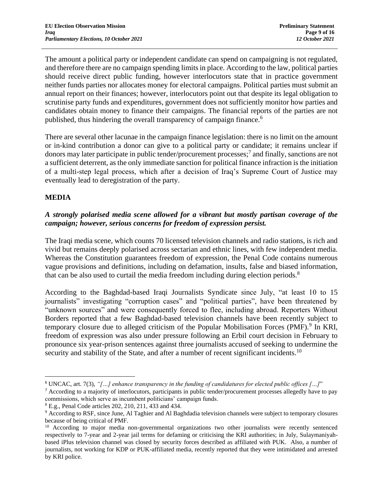The amount a political party or independent candidate can spend on campaigning is not regulated, and therefore there are no campaign spending limits in place. According to the law, political parties should receive direct public funding, however interlocutors state that in practice government neither funds parties nor allocates money for electoral campaigns. Political parties must submit an annual report on their finances; however, interlocutors point out that despite its legal obligation to scrutinise party funds and expenditures, government does not sufficiently monitor how parties and candidates obtain money to finance their campaigns. The financial reports of the parties are not published, thus hindering the overall transparency of campaign finance.<sup>6</sup>

There are several other lacunae in the campaign finance legislation: there is no limit on the amount or in-kind contribution a donor can give to a political party or candidate; it remains unclear if donors may later participate in public tender/procurement processes;<sup>7</sup> and finally, sanctions are not a sufficient deterrent, as the only immediate sanction for political finance infraction is the initiation of a multi-step legal process, which after a decision of Iraq's Supreme Court of Justice may eventually lead to deregistration of the party.

## **MEDIA**

## *A strongly polarised media scene allowed for a vibrant but mostly partisan coverage of the campaign; however, serious concerns for freedom of expression persist.*

The Iraqi media scene, which counts 70 licensed television channels and radio stations, is rich and vivid but remains deeply polarised across sectarian and ethnic lines, with few independent media. Whereas the Constitution guarantees freedom of expression, the Penal Code contains numerous vague provisions and definitions, including on defamation, insults, false and biased information, that can be also used to curtail the media freedom including during election periods.<sup>8</sup>

According to the Baghdad-based Iraqi Journalists Syndicate since July, "at least 10 to 15 journalists" investigating "corruption cases" and "political parties", have been threatened by "unknown sources" and were consequently forced to flee, including abroad. Reporters Without Borders reported that a few Baghdad-based television channels have been recently subject to temporary closure due to alleged criticism of the Popular Mobilisation Forces (PMF).<sup>9</sup> In KRI, freedom of expression was also under pressure following an Erbil court decision in February to pronounce six year-prison sentences against three journalists accused of seeking to undermine the security and stability of the State, and after a number of recent significant incidents.<sup>10</sup>

<sup>6</sup> UNCAC, art. 7(3), *"[…] enhance transparency in the funding of candidatures for elected public offices […]*"

<sup>&</sup>lt;sup>7</sup> According to a majority of interlocutors, participants in public tender/procurement processes allegedly have to pay commissions, which serve as incumbent politicians' campaign funds.

<sup>8</sup> E.g., Penal Code articles 202, 210, 211, 433 and 434.

<sup>&</sup>lt;sup>9</sup> According to RSF, since June, Al Taghier and Al Baghdadia television channels were subject to temporary closures because of being critical of PMF.

<sup>&</sup>lt;sup>10</sup> According to major media non-governmental organizations two other journalists were recently sentenced respectively to 7-year and 2-year jail terms for defaming or criticising the KRI authorities; in July, Sulaymaniyahbased iPlus television channel was closed by security forces described as affiliated with PUK. Also, a number of journalists, not working for KDP or PUK-affiliated media, recently reported that they were intimidated and arrested by KRI police.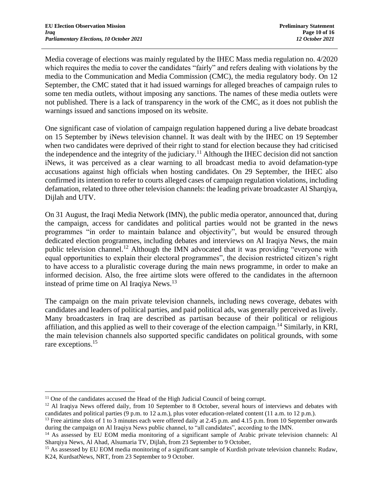Media coverage of elections was mainly regulated by the IHEC Mass media regulation no. 4/2020 which requires the media to cover the candidates "fairly" and refers dealing with violations by the media to the Communication and Media Commission (CMC), the media regulatory body. On 12 September, the CMC stated that it had issued warnings for alleged breaches of campaign rules to some ten media outlets, without imposing any sanctions. The names of these media outlets were not published. There is a lack of transparency in the work of the CMC, as it does not publish the warnings issued and sanctions imposed on its website.

One significant case of violation of campaign regulation happened during a live debate broadcast on 15 September by iNews television channel. It was dealt with by the IHEC on 19 September when two candidates were deprived of their right to stand for election because they had criticised the independence and the integrity of the judiciary.<sup>11</sup> Although the IHEC decision did not sanction iNews, it was perceived as a clear warning to all broadcast media to avoid defamation-type accusations against high officials when hosting candidates. On 29 September, the IHEC also confirmed its intention to refer to courts alleged cases of campaign regulation violations, including defamation, related to three other television channels: the leading private broadcaster Al Sharqiya, Dijlah and UTV.

On 31 August, the Iraqi Media Network (IMN), the public media operator, announced that, during the campaign, access for candidates and political parties would not be granted in the news programmes "in order to maintain balance and objectivity", but would be ensured through dedicated election programmes, including debates and interviews on Al Iraqiya News, the main public television channel.<sup>12</sup> Although the IMN advocated that it was providing "everyone with equal opportunities to explain their electoral programmes", the decision restricted citizen's right to have access to a pluralistic coverage during the main news programme, in order to make an informed decision. Also, the free airtime slots were offered to the candidates in the afternoon instead of prime time on Al Iraqiya News.<sup>13</sup>

The campaign on the main private television channels, including news coverage, debates with candidates and leaders of political parties, and paid political ads, was generally perceived as lively. Many broadcasters in Iraq are described as partisan because of their political or religious affiliation, and this applied as well to their coverage of the election campaign.<sup>14</sup> Similarly, in KRI, the main television channels also supported specific candidates on political grounds, with some rare exceptions.<sup>15</sup>

<sup>&</sup>lt;sup>11</sup> One of the candidates accused the Head of the High Judicial Council of being corrupt.

<sup>&</sup>lt;sup>12</sup> Al Iraqiya News offered daily, from 10 September to 8 October, several hours of interviews and debates with candidates and political parties (9 p.m. to 12 a.m.), plus voter education-related content (11 a.m. to 12 p.m.).

<sup>&</sup>lt;sup>13</sup> Free airtime slots of 1 to 3 minutes each were offered daily at 2.45 p.m. and 4.15 p.m. from 10 September onwards during the campaign on Al Iraqiya News public channel, to "all candidates", according to the IMN.

<sup>14</sup> As assessed by EU EOM media monitoring of a significant sample of Arabic private television channels: Al Sharqiya News, Al Ahad, Alsumaria TV, Dijlah, from 23 September to 9 October,

<sup>&</sup>lt;sup>15</sup> As assessed by EU EOM media monitoring of a significant sample of Kurdish private television channels: Rudaw, K24, KurdsatNews, NRT, from 23 September to 9 October.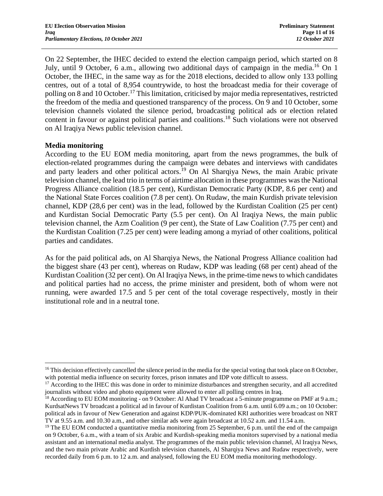On 22 September, the IHEC decided to extend the election campaign period, which started on 8 July, until 9 October, 6 a.m., allowing two additional days of campaign in the media.<sup>16</sup> On 1 October, the IHEC, in the same way as for the 2018 elections, decided to allow only 133 polling centres, out of a total of 8,954 countrywide, to host the broadcast media for their coverage of polling on 8 and 10 October.<sup>17</sup> This limitation, criticised by major media representatives, restricted the freedom of the media and questioned transparency of the process. On 9 and 10 October, some television channels violated the silence period, broadcasting political ads or election related content in favour or against political parties and coalitions.<sup>18</sup> Such violations were not observed on Al Iraqiya News public television channel.

#### **Media monitoring**

According to the EU EOM media monitoring, apart from the news programmes, the bulk of election-related programmes during the campaign were debates and interviews with candidates and party leaders and other political actors.<sup>19</sup> On Al Sharqiya News, the main Arabic private television channel, the lead trio in terms of airtime allocation in these programmes was the National Progress Alliance coalition (18.5 per cent), Kurdistan Democratic Party (KDP, 8.6 per cent) and the National State Forces coalition (7.8 per cent). On Rudaw, the main Kurdish private television channel, KDP (28,6 per cent) was in the lead, followed by the Kurdistan Coalition (25 per cent) and Kurdistan Social Democratic Party (5.5 per cent). On Al Iraqiya News, the main public television channel, the Azm Coalition (9 per cent), the State of Law Coalition (7.75 per cent) and the Kurdistan Coalition (7.25 per cent) were leading among a myriad of other coalitions, political parties and candidates.

As for the paid political ads, on Al Sharqiya News, the National Progress Alliance coalition had the biggest share (43 per cent), whereas on Rudaw, KDP was leading (68 per cent) ahead of the Kurdistan Coalition (32 per cent). On Al Iraqiya News, in the prime-time news to which candidates and political parties had no access, the prime minister and president, both of whom were not running, were awarded 17.5 and 5 per cent of the total coverage respectively, mostly in their institutional role and in a neutral tone.

<sup>&</sup>lt;sup>16</sup> This decision effectively cancelled the silence period in the media for the special voting that took place on 8 October, with potential media influence on security forces, prison inmates and IDP vote difficult to assess.

<sup>&</sup>lt;sup>17</sup> According to the IHEC this was done in order to minimize disturbances and strengthen security, and all accredited journalists without video and photo equipment were allowed to enter all polling centres in Iraq.

<sup>&</sup>lt;sup>18</sup> According to EU EOM monitoring - on 9 October: Al Ahad TV broadcast a 5-minute programme on PMF at 9 a.m.; KurdsatNews TV broadcast a political ad in favour of Kurdistan Coalition from 6 a.m. until 6.09 a.m.; on 10 October: political ads in favour of New Generation and against KDP/PUK-dominated KRI authorities were broadcast on NRT TV at 9.55 a.m. and 10.30 a.m., and other similar ads were again broadcast at 10.52 a.m. and 11.54 a.m.

<sup>&</sup>lt;sup>19</sup> The EU EOM conducted a quantitative media monitoring from 25 September, 6 p.m. until the end of the campaign on 9 October, 6 a.m., with a team of six Arabic and Kurdish-speaking media monitors supervised by a national media assistant and an international media analyst. The programmes of the main public television channel, Al Iraqiya News, and the two main private Arabic and Kurdish television channels, Al Sharqiya News and Rudaw respectively, were recorded daily from 6 p.m. to 12 a.m. and analysed, following the EU EOM media monitoring methodology.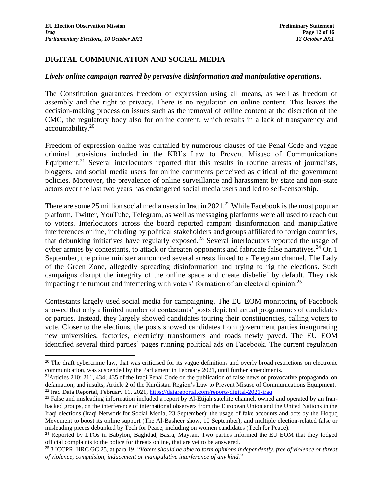## **DIGITAL COMMUNICATION AND SOCIAL MEDIA**

#### *Lively online campaign marred by pervasive disinformation and manipulative operations.*

The Constitution guarantees freedom of expression using all means, as well as freedom of assembly and the right to privacy. There is no regulation on online content. This leaves the decision-making process on issues such as the removal of online content at the discretion of the CMC, the regulatory body also for online content, which results in a lack of transparency and accountability.<sup>20</sup>

Freedom of expression online was curtailed by numerous clauses of the Penal Code and vague criminal provisions included in the KRI's Law to Prevent Misuse of Communications Equipment.<sup>21</sup> Several interlocutors reported that this results in routine arrests of journalists, bloggers, and social media users for online comments perceived as critical of the government policies. Moreover, the prevalence of online surveillance and harassment by state and non-state actors over the last two years has endangered social media users and led to self-censorship.

There are some 25 million social media users in Iraq in  $2021<sup>22</sup>$  While Facebook is the most popular platform, Twitter, YouTube, Telegram, as well as messaging platforms were all used to reach out to voters. Interlocutors across the board reported rampant disinformation and manipulative interferences online, including by political stakeholders and groups affiliated to foreign countries, that debunking initiatives have regularly exposed.<sup>23</sup> Several interlocutors reported the usage of cyber armies by contestants, to attack or threaten opponents and fabricate false narratives.<sup>24</sup> On 1 September, the prime minister announced several arrests linked to a Telegram channel, The Lady of the Green Zone, allegedly spreading disinformation and trying to rig the elections. Such campaigns disrupt the integrity of the online space and create disbelief by default. They risk impacting the turnout and interfering with voters' formation of an electoral opinion.<sup>25</sup>

Contestants largely used social media for campaigning. The EU EOM monitoring of Facebook showed that only a limited number of contestants' posts depicted actual programmes of candidates or parties. Instead, they largely showed candidates touring their constituencies, calling voters to vote. Closer to the elections, the posts showed candidates from government parties inaugurating new universities, factories, electricity transformers and roads newly paved. The EU EOM identified several third parties' pages running political ads on Facebook. The current regulation

 $20$  The draft cybercrime law, that was criticised for its vague definitions and overly broad restrictions on electronic communication, was suspended by the Parliament in February 2021, until further amendments.

<sup>&</sup>lt;sup>21</sup>Articles 210; 211, 434; 435 of the Iraqi Penal Code on the publication of false news or provocative propaganda, on defamation, and insults; Article 2 of the Kurdistan Region's Law to Prevent Misuse of Communications Equipment. <sup>22</sup> Iraq Data Reportal, February 11, 2021, <https://datareportal.com/reports/digital-2021-iraq>

<sup>&</sup>lt;sup>23</sup> False and misleading information included a report by Al-Etijah satellite channel, owned and operated by an Iranbacked groups, on the interference of international observers from the European Union and the United Nations in the Iraqi elections (Iraqi Network for Social Media, 23 September); the usage of fake accounts and bots by the Hoquq Movement to boost its online support (The Al-Basheer show, 10 September); and multiple election-related false or misleading pieces debunked by Tech for Peace, including on women candidates (Tech for Peace).

<sup>&</sup>lt;sup>24</sup> Reported by LTOs in Babylon, Baghdad, Basra, Maysan. Two parties informed the EU EOM that they lodged official complaints to the police for threats online, that are yet to be answered.

<sup>25</sup> 3 ICCPR, HRC GC 25, at para 19: "*Voters should be able to form opinions independently, free of violence or threat of violence, compulsion, inducement or manipulative interference of any kind.*"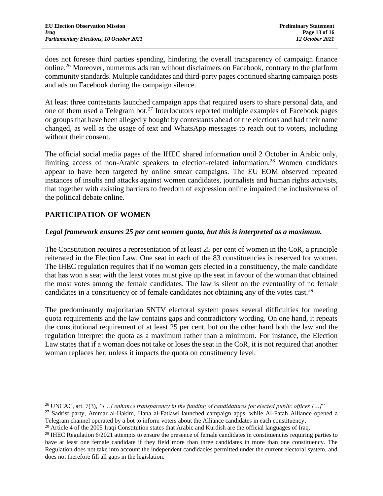does not foresee third parties spending, hindering the overall transparency of campaign finance online.<sup>26</sup> Moreover, numerous ads ran without disclaimers on Facebook, contrary to the platform community standards. Multiple candidates and third-party pages continued sharing campaign posts and ads on Facebook during the campaign silence.

At least three contestants launched campaign apps that required users to share personal data, and one of them used a Telegram bot.<sup>27</sup> Interlocutors reported multiple examples of Facebook pages or groups that have been allegedly bought by contestants ahead of the elections and had their name changed, as well as the usage of text and WhatsApp messages to reach out to voters, including without their consent.

The official social media pages of the IHEC shared information until 2 October in Arabic only, limiting access of non-Arabic speakers to election-related information.<sup>28</sup> Women candidates appear to have been targeted by online smear campaigns. The EU EOM observed repeated instances of insults and attacks against women candidates, journalists and human rights activists, that together with existing barriers to freedom of expression online impaired the inclusiveness of the political debate online.

## **PARTICIPATION OF WOMEN**

### *Legal framework ensures 25 per cent women quota, but this is interpreted as a maximum.*

The Constitution requires a representation of at least 25 per cent of women in the CoR, a principle reiterated in the Election Law. One seat in each of the 83 constituencies is reserved for women. The IHEC regulation requires that if no woman gets elected in a constituency, the male candidate that has won a seat with the least votes must give up the seat in favour of the woman that obtained the most votes among the female candidates. The law is silent on the eventuality of no female candidates in a constituency or of female candidates not obtaining any of the votes cast.<sup>29</sup>

The predominantly majoritarian SNTV electoral system poses several difficulties for meeting quota requirements and the law contains gaps and contradictory wording. On one hand, it repeats the constitutional requirement of at least 25 per cent, but on the other hand both the law and the regulation interpret the quota as a maximum rather than a minimum. For instance, the Election Law states that if a woman does not take or loses the seat in the CoR, it is not required that another woman replaces her, unless it impacts the quota on constituency level.

<sup>26</sup> UNCAC, art. 7(3), *"[…] enhance transparency in the funding of candidatures for elected public offices […]*"

<sup>&</sup>lt;sup>27</sup> Sadrist party, Ammar al-Hakim, Hana al-Fatlawi launched campaign apps, while Al-Fatah Alliance opened a Telegram channel operated by a bot to inform voters about the Alliance candidates in each constituency.

<sup>&</sup>lt;sup>28</sup> Article 4 of the 2005 Iraqi Constitution states that Arabic and Kurdish are the official languages of Iraq.

 $29$  IHEC Regulation  $6/2021$  attempts to ensure the presence of female candidates in constituencies requiring parties to have at least one female candidate if they field more than three candidates in more than one constituency. The Regulation does not take into account the independent candidacies permitted under the current electoral system, and does not therefore fill all gaps in the legislation.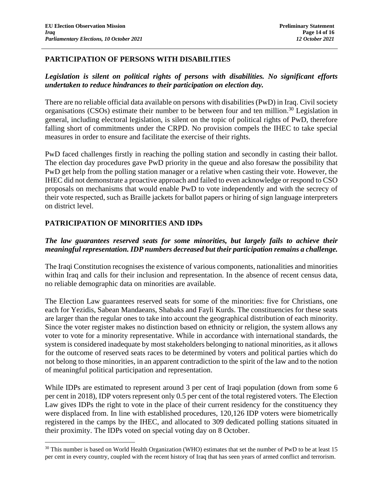### **PARTICIPATION OF PERSONS WITH DISABILITIES**

### *Legislation is silent on political rights of persons with disabilities. No significant efforts undertaken to reduce hindrances to their participation on election day.*

There are no reliable official data available on persons with disabilities (PwD) in Iraq. Civil society organisations (CSOs) estimate their number to be between four and ten million.<sup>30</sup> Legislation in general, including electoral legislation, is silent on the topic of political rights of PwD, therefore falling short of commitments under the CRPD. No provision compels the IHEC to take special measures in order to ensure and facilitate the exercise of their rights.

PwD faced challenges firstly in reaching the polling station and secondly in casting their ballot. The election day procedures gave PwD priority in the queue and also foresaw the possibility that PwD get help from the polling station manager or a relative when casting their vote. However, the IHEC did not demonstrate a proactive approach and failed to even acknowledge or respond to CSO proposals on mechanisms that would enable PwD to vote independently and with the secrecy of their vote respected, such as Braille jackets for ballot papers or hiring of sign language interpreters on district level.

## **PATRICIPATION OF MINORITIES AND IDPs**

## *The law guarantees reserved seats for some minorities, but largely fails to achieve their meaningful representation. IDP numbers decreased but their participation remains a challenge.*

The Iraqi Constitution recognises the existence of various components, nationalities and minorities within Iraq and calls for their inclusion and representation. In the absence of recent census data, no reliable demographic data on minorities are available.

The Election Law guarantees reserved seats for some of the minorities: five for Christians, one each for Yezidis, Sabean Mandaeans, Shabaks and Fayli Kurds. The constituencies for these seats are larger than the regular ones to take into account the geographical distribution of each minority. Since the voter register makes no distinction based on ethnicity or religion, the system allows any voter to vote for a minority representative. While in accordance with international standards, the system is considered inadequate by most stakeholders belonging to national minorities, as it allows for the outcome of reserved seats races to be determined by voters and political parties which do not belong to those minorities, in an apparent contradiction to the spirit of the law and to the notion of meaningful political participation and representation.

While IDPs are estimated to represent around 3 per cent of Iraqi population (down from some 6 per cent in 2018), IDP voters represent only 0.5 per cent of the total registered voters. The Election Law gives IDPs the right to vote in the place of their current residency for the constituency they were displaced from. In line with established procedures, 120,126 IDP voters were biometrically registered in the camps by the IHEC, and allocated to 309 dedicated polling stations situated in their proximity. The IDPs voted on special voting day on 8 October.

<sup>&</sup>lt;sup>30</sup> This number is based on World Health Organization (WHO) estimates that set the number of PwD to be at least 15 per cent in every country, coupled with the recent history of Iraq that has seen years of armed conflict and terrorism.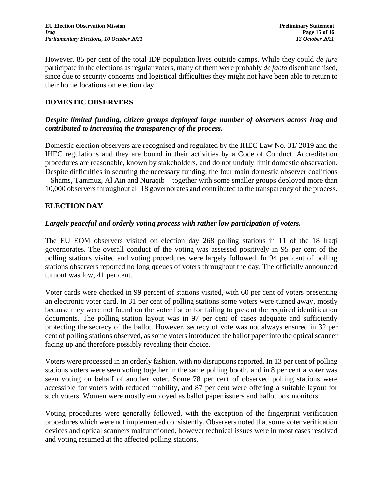However, 85 per cent of the total IDP population lives outside camps. While they could *de jure* participate in the elections as regular voters, many of them were probably *de facto* disenfranchised, since due to security concerns and logistical difficulties they might not have been able to return to their home locations on election day.

### **DOMESTIC OBSERVERS**

### *Despite limited funding, citizen groups deployed large number of observers across Iraq and contributed to increasing the transparency of the process.*

Domestic election observers are recognised and regulated by the IHEC Law No. 31/ 2019 and the IHEC regulations and they are bound in their activities by a Code of Conduct. Accreditation procedures are reasonable, known by stakeholders, and do not unduly limit domestic observation. Despite difficulties in securing the necessary funding, the four main domestic observer coalitions – Shams, Tammuz, Al Ain and Nuraqib – together with some smaller groups deployed more than 10,000 observersthroughout all 18 governorates and contributed to the transparency of the process.

### **ELECTION DAY**

#### *Largely peaceful and orderly voting process with rather low participation of voters.*

The EU EOM observers visited on election day 268 polling stations in 11 of the 18 Iraqi governorates. The overall conduct of the voting was assessed positively in 95 per cent of the polling stations visited and voting procedures were largely followed. In 94 per cent of polling stations observers reported no long queues of voters throughout the day. The officially announced turnout was low, 41 per cent.

Voter cards were checked in 99 percent of stations visited, with 60 per cent of voters presenting an electronic voter card. In 31 per cent of polling stations some voters were turned away, mostly because they were not found on the voter list or for failing to present the required identification documents. The polling station layout was in 97 per cent of cases adequate and sufficiently protecting the secrecy of the ballot. However, secrecy of vote was not always ensured in 32 per cent of polling stations observed, as some voters introduced the ballot paper into the optical scanner facing up and therefore possibly revealing their choice.

Voters were processed in an orderly fashion, with no disruptions reported. In 13 per cent of polling stations voters were seen voting together in the same polling booth, and in 8 per cent a voter was seen voting on behalf of another voter. Some 78 per cent of observed polling stations were accessible for voters with reduced mobility, and 87 per cent were offering a suitable layout for such voters. Women were mostly employed as ballot paper issuers and ballot box monitors.

Voting procedures were generally followed, with the exception of the fingerprint verification procedures which were not implemented consistently. Observers noted that some voter verification devices and optical scanners malfunctioned, however technical issues were in most cases resolved and voting resumed at the affected polling stations.